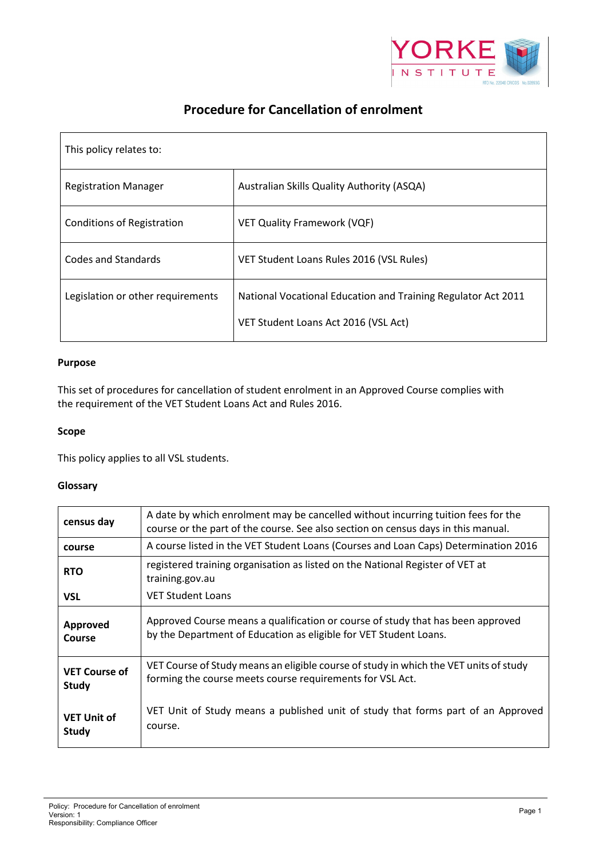

# **Procedure for Cancellation of enrolment**

| This policy relates to:           |                                                                                                       |
|-----------------------------------|-------------------------------------------------------------------------------------------------------|
| <b>Registration Manager</b>       | Australian Skills Quality Authority (ASQA)                                                            |
| <b>Conditions of Registration</b> | <b>VET Quality Framework (VQF)</b>                                                                    |
| Codes and Standards               | VET Student Loans Rules 2016 (VSL Rules)                                                              |
| Legislation or other requirements | National Vocational Education and Training Regulator Act 2011<br>VET Student Loans Act 2016 (VSL Act) |

## **Purpose**

This set of procedures for cancellation of student enrolment in an Approved Course complies with the requirement of the VET Student Loans Act and Rules 2016.

# **Scope**

This policy applies to all VSL students.

# **Glossary**

| census day                           | A date by which enrolment may be cancelled without incurring tuition fees for the<br>course or the part of the course. See also section on census days in this manual. |  |
|--------------------------------------|------------------------------------------------------------------------------------------------------------------------------------------------------------------------|--|
| course                               | A course listed in the VET Student Loans (Courses and Loan Caps) Determination 2016                                                                                    |  |
| <b>RTO</b>                           | registered training organisation as listed on the National Register of VET at<br>training.gov.au                                                                       |  |
| <b>VSL</b>                           | <b>VET Student Loans</b>                                                                                                                                               |  |
| Approved<br>Course                   | Approved Course means a qualification or course of study that has been approved<br>by the Department of Education as eligible for VET Student Loans.                   |  |
| <b>VET Course of</b><br><b>Study</b> | VET Course of Study means an eligible course of study in which the VET units of study<br>forming the course meets course requirements for VSL Act.                     |  |
| <b>VET Unit of</b><br><b>Study</b>   | VET Unit of Study means a published unit of study that forms part of an Approved<br>course.                                                                            |  |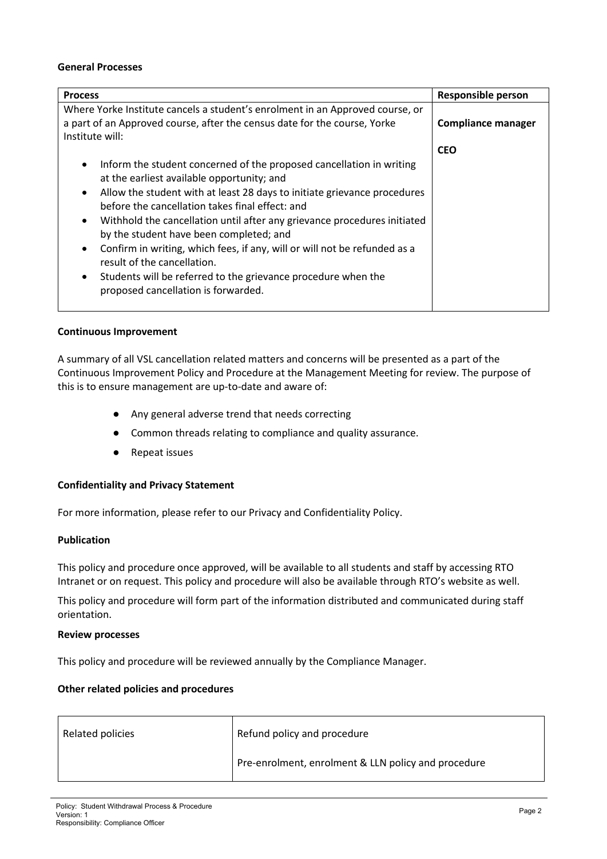#### **General Processes**

| <b>Process</b>                                                                                                                                                                                                                                                                                                                                                                                                                                                                                                                                                                                                                                   | <b>Responsible person</b> |
|--------------------------------------------------------------------------------------------------------------------------------------------------------------------------------------------------------------------------------------------------------------------------------------------------------------------------------------------------------------------------------------------------------------------------------------------------------------------------------------------------------------------------------------------------------------------------------------------------------------------------------------------------|---------------------------|
| Where Yorke Institute cancels a student's enrolment in an Approved course, or<br>a part of an Approved course, after the census date for the course, Yorke<br>Institute will:                                                                                                                                                                                                                                                                                                                                                                                                                                                                    | <b>Compliance manager</b> |
|                                                                                                                                                                                                                                                                                                                                                                                                                                                                                                                                                                                                                                                  | <b>CEO</b>                |
| Inform the student concerned of the proposed cancellation in writing<br>$\bullet$<br>at the earliest available opportunity; and<br>Allow the student with at least 28 days to initiate grievance procedures<br>$\bullet$<br>before the cancellation takes final effect: and<br>Withhold the cancellation until after any grievance procedures initiated<br>$\bullet$<br>by the student have been completed; and<br>Confirm in writing, which fees, if any, will or will not be refunded as a<br>$\bullet$<br>result of the cancellation.<br>Students will be referred to the grievance procedure when the<br>proposed cancellation is forwarded. |                           |

### **Continuous Improvement**

A summary of all VSL cancellation related matters and concerns will be presented as a part of the Continuous Improvement Policy and Procedure at the Management Meeting for review. The purpose of this is to ensure management are up-to-date and aware of:

- Any general adverse trend that needs correcting
- Common threads relating to compliance and quality assurance.
- Repeat issues

## **Confidentiality and Privacy Statement**

For more information, please refer to our Privacy and Confidentiality Policy.

### **Publication**

This policy and procedure once approved, will be available to all students and staff by accessing RTO Intranet or on request. This policy and procedure will also be available through RTO's website as well.

This policy and procedure will form part of the information distributed and communicated during staff orientation.

#### **Review processes**

This policy and procedure will be reviewed annually by the Compliance Manager.

## **Other related policies and procedures**

| Related policies | Refund policy and procedure                         |
|------------------|-----------------------------------------------------|
|                  | Pre-enrolment, enrolment & LLN policy and procedure |